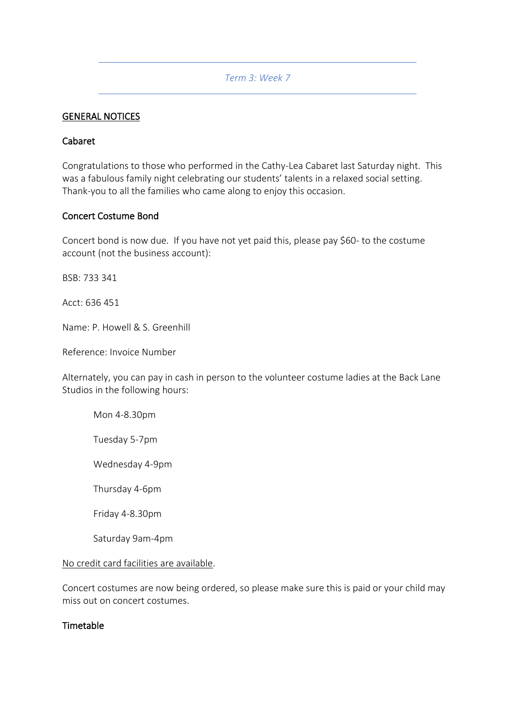### *Term 3: Week 7*

#### GENERAL NOTICES

#### Cabaret

Congratulations to those who performed in the Cathy-Lea Cabaret last Saturday night. This was a fabulous family night celebrating our students' talents in a relaxed social setting. Thank-you to all the families who came along to enjoy this occasion.

#### Concert Costume Bond

Concert bond is now due. If you have not yet paid this, please pay \$60- to the costume account (not the business account):

BSB: 733 341

Acct: 636 451

Name: P. Howell & S. Greenhill

Reference: Invoice Number

Alternately, you can pay in cash in person to the volunteer costume ladies at the Back Lane Studios in the following hours:

Mon 4-8.30pm

Tuesday 5-7pm

Wednesday 4-9pm

Thursday 4-6pm

Friday 4-8.30pm

Saturday 9am-4pm

#### No credit card facilities are available.

Concert costumes are now being ordered, so please make sure this is paid or your child may miss out on concert costumes.

### Timetable